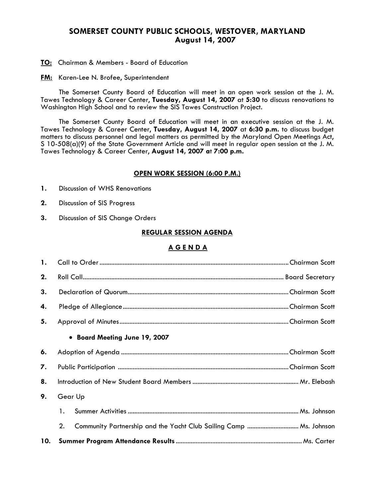# **SOMERSET COUNTY PUBLIC SCHOOLS, WESTOVER, MARYLAND August 14, 2007**

**TO:** Chairman & Members - Board of Education

**FM:** Karen-Lee N. Brofee, Superintendent

 The Somerset County Board of Education will meet in an open work session at the J. M. Tawes Technology & Career Center, **Tuesday, August 14, 2007** at **5:30** to discuss renovations to Washington High School and to review the SIS Tawes Construction Project.

The Somerset County Board of Education will meet in an executive session at the J. M. Tawes Technology & Career Center, **Tuesday, August 14, 2007** at **6:30 p.m.** to discuss budget matters to discuss personnel and legal matters as permitted by the Maryland Open Meetings Act, S 10-508(a)(9) of the State Government Article and will meet in regular open session at the J. M. Tawes Technology & Career Center, **August 14, 2007 a**t **7:00 p.m.** 

#### **OPEN WORK SESSION (6:00 P.M.)**

- **1.** Discussion of WHS Renovations
- **2.** Discussion of SIS Progress
- **3.** Discussion of SIS Change Orders

### **REGULAR SESSION AGENDA**

### **A G E N D A**

| 1. |         |                               |  |
|----|---------|-------------------------------|--|
| 2. |         |                               |  |
| 3. |         |                               |  |
| 4. |         |                               |  |
| 5. |         |                               |  |
|    |         | • Board Meeting June 19, 2007 |  |
| 6. |         |                               |  |
| 7. |         |                               |  |
| 8. |         |                               |  |
| 9. | Gear Up |                               |  |
|    | 1.      |                               |  |
|    | 2.      |                               |  |
|    |         |                               |  |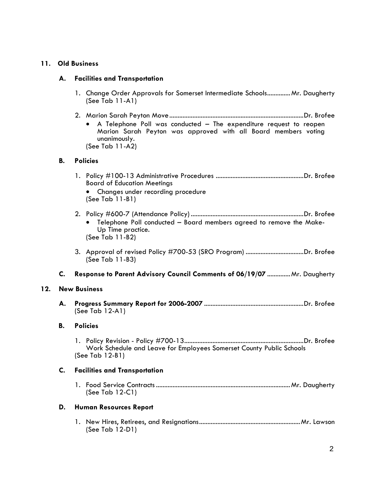# **11. Old Business**

### **A. Facilities and Transportation**

- 1. Change Order Approvals for Somerset Intermediate Schools.............. Mr. Daugherty (See Tab 11-A1)
- 2. Marion Sarah Peyton Move.................................................................................Dr. Brofee • A Telephone Poll was conducted – The expenditure request to reopen Marion Sarah Peyton was approved with all Board members voting unanimously. (See Tab 11-A2)

### **B. Policies**

- 1. Policy #100-13 Administrative Procedures .....................................................Dr. Brofee Board of Education Meetings • Changes under recording procedure
	- (See Tab 11-B1)
- 2. Policy #600-7 (Attendance Policy) ....................................................................Dr. Brofee • Telephone Poll conducted – Board members agreed to remove the Make-Up Time practice. (See Tab 11-B2)
- 3. Approval of revised Policy #700-53 (SRO Program) ...................................Dr. Brofee (See Tab 11-B3)
- **C. Response to Parent Advisory Council Comments of 06/19/07** ..............Mr. Daugherty

#### **12. New Business**

 **A. Progress Summary Report for 2006-2007** ............................................................Dr. Brofee (See Tab 12-A1)

#### **B. Policies**

1. Policy Revision - Policy #700-13........................................................................Dr. Brofee Work Schedule and Leave for Employees Somerset County Public Schools (See Tab 12-B1)

#### **C. Facilities and Transportation**

 1. Food Service Contracts .................................................................................Mr. Daugherty (See Tab 12-C1)

### **D. Human Resources Report**

1. New Hires, Retirees, and Resignations.............................................................Mr. Lawson (See Tab 12-D1)